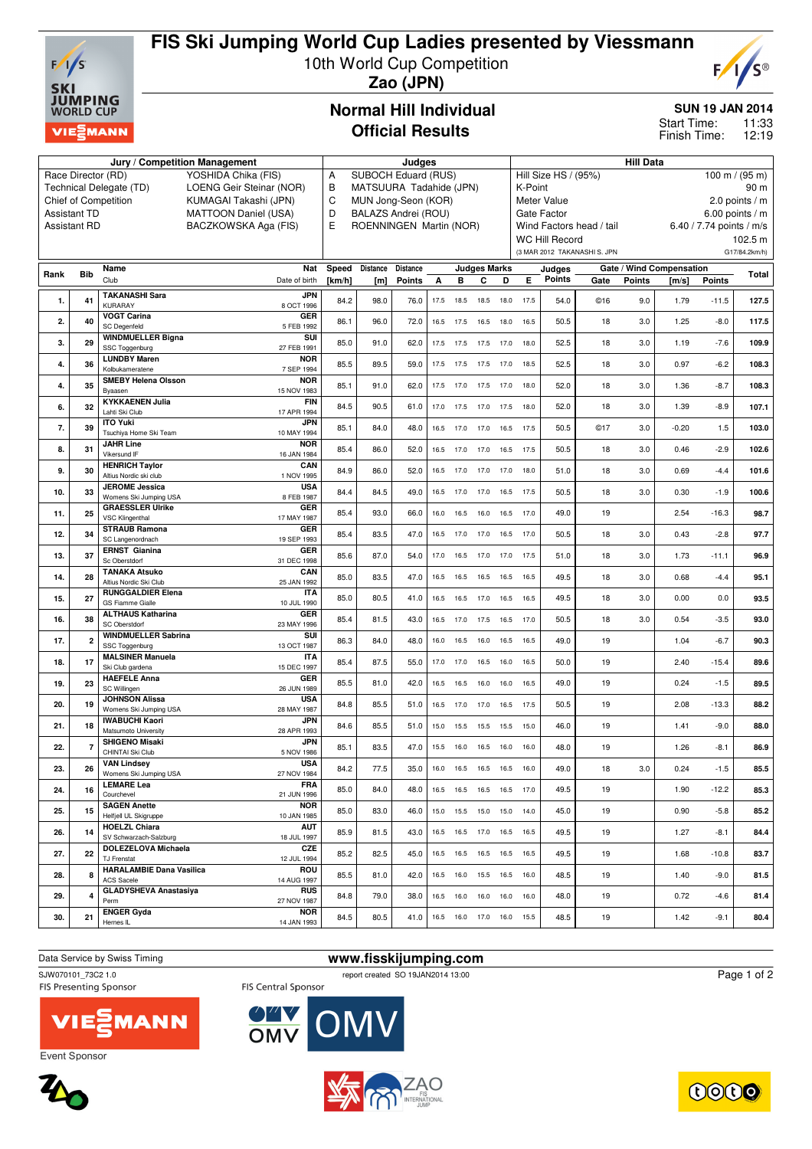

# **FIS Ski Jumping World Cup Ladies presented by Viessmann**

10th World Cup Competition



**Zao (JPN)**

## **Normal Hill Individual Official Results**

## **SUN 19 JAN 2014**

11:33 12:19 Start Time: Finish Time:

|      |                     | Jury / Competition Management                                          | Judges                                  |                                                                                                  |                 |          |      |                |                              | <b>Hill Data</b>                                         |           |                                              |                              |               |                          |               |               |
|------|---------------------|------------------------------------------------------------------------|-----------------------------------------|--------------------------------------------------------------------------------------------------|-----------------|----------|------|----------------|------------------------------|----------------------------------------------------------|-----------|----------------------------------------------|------------------------------|---------------|--------------------------|---------------|---------------|
|      | Race Director (RD)  | YOSHIDA Chika (FIS)                                                    | SUBOCH Eduard (RUS)<br>А                |                                                                                                  |                 |          |      |                |                              | Hill Size HS / (95%)<br>$100 \text{ m} / (95 \text{ m})$ |           |                                              |                              |               |                          |               |               |
|      |                     | Technical Delegate (TD)<br>LOENG Geir Steinar (NOR)                    | В<br>MATSUURA Tadahide (JPN)            |                                                                                                  |                 |          |      |                |                              | 90 m<br>K-Point                                          |           |                                              |                              |               |                          |               |               |
|      |                     | Chief of Competition<br>KUMAGAI Takashi (JPN)                          | C<br>MUN Jong-Seon (KOR)                |                                                                                                  |                 |          |      |                |                              | Meter Value<br>2.0 points $/m$                           |           |                                              |                              |               |                          |               |               |
|      | <b>Assistant TD</b> | <b>MATTOON Daniel (USA)</b>                                            | D<br>Е                                  | BALAZS Andrei (ROU)<br><b>Gate Factor</b><br>ROENNINGEN Martin (NOR)<br>Wind Factors head / tail |                 |          |      |                |                              |                                                          |           | 6.00 points $/m$<br>6.40 / 7.74 points / m/s |                              |               |                          |               |               |
|      | <b>Assistant RD</b> |                                                                        | BACZKOWSKA Aga (FIS)                    |                                                                                                  |                 |          |      |                |                              |                                                          |           | <b>WC Hill Record</b>                        |                              |               |                          |               | 102.5 m       |
|      |                     |                                                                        |                                         |                                                                                                  |                 |          |      |                |                              |                                                          |           |                                              | (3 MAR 2012 TAKANASHI S. JPN |               |                          |               | G17/84.2km/h) |
|      |                     | Name                                                                   | Nat                                     | Speed                                                                                            | <b>Distance</b> | Distance |      |                | <b>Judges Marks</b>          |                                                          |           | Judges                                       |                              |               | Gate / Wind Compensation |               |               |
| Rank | Bib                 | Club                                                                   | Date of birth                           | [km/h]                                                                                           | [m]             | Points   | A    | в              | С                            | D                                                        | E.        | <b>Points</b>                                | Gate                         | <b>Points</b> | [m/s]                    | <b>Points</b> | Total         |
| 1.   | 41                  | <b>TAKANASHI Sara</b><br><b>KURARAY</b>                                | <b>JPN</b><br>8 OCT 1996                | 84.2                                                                                             | 98.0            | 76.0     | 17.5 | 18.5           | 18.5                         | 18.0                                                     | 17.5      | 54.0                                         | ©16                          | 9.0           | 1.79                     | $-11.5$       | 127.5         |
| 2.   | 40                  | <b>VOGT Carina</b><br><b>SC Degenfeld</b>                              | GER<br>5 FEB 1992                       | 86.1                                                                                             | 96.0            | 72.0     | 16.5 | 17.5           | 16.5                         | 18.0                                                     | 16.5      | 50.5                                         | 18                           | 3.0           | 1.25                     | $-8.0$        | 117.5         |
| 3.   | 29                  | <b>WINDMUELLER Bigna</b><br>SSC Toggenburg                             | SUI<br>27 FEB 1991                      | 85.0                                                                                             | 91.0            | 62.0     | 17.5 | 17.5           | 17.5                         | 17.0                                                     | 18.0      | 52.5                                         | 18                           | 3.0           | 1.19                     | $-7.6$        | 109.9         |
| 4.   | 36                  | <b>LUNDBY Maren</b><br>Kolbukameratene                                 | <b>NOR</b><br>7 SEP 1994                | 85.5                                                                                             | 89.5            | 59.0     | 17.5 | 17.5           | 17.5                         | 17.0                                                     | 18.5      | 52.5                                         | 18                           | 3.0           | 0.97                     | $-6.2$        | 108.3         |
| 4.   | 35                  | <b>SMEBY Helena Olsson</b><br>Byaasen                                  | <b>NOR</b><br>15 NOV 1983               | 85.1                                                                                             | 91.0            | 62.0     |      | 17.5 17.0      | 17.5                         |                                                          | 17.0 18.0 | 52.0                                         | 18                           | 3.0           | 1.36                     | $-8.7$        | 108.3         |
| 6.   | 32                  | <b>KYKKAENEN Julia</b><br>Lahti Ski Club                               | <b>FIN</b><br>17 APR 1994               | 84.5                                                                                             | 90.5            | 61.0     | 17.0 | 17.5           | 17.0                         | 17.5                                                     | 18.0      | 52.0                                         | 18                           | 3.0           | 1.39                     | $-8.9$        | 107.1         |
| 7.   | 39                  | <b>ITO Yuki</b><br>Tsuchiya Home Ski Team                              | <b>JPN</b><br>10 MAY 1994               | 85.1                                                                                             | 84.0            | 48.0     |      | 16.5 17.0      | 17.0                         |                                                          | 16.5 17.5 | 50.5                                         | ©17                          | 3.0           | $-0.20$                  | 1.5           | 103.0         |
| 8.   | 31                  | <b>JAHR Line</b><br>Vikersund IF                                       | <b>NOR</b><br>16 JAN 1984               | 85.4                                                                                             | 86.0            | 52.0     | 16.5 | 17.0           | 17.0                         | 16.5                                                     | 17.5      | 50.5                                         | 18                           | 3.0           | 0.46                     | $-2.9$        | 102.6         |
| 9.   | 30                  | <b>HENRICH Taylor</b><br>Altius Nordic ski club                        | CAN<br>1 NOV 1995                       | 84.9                                                                                             | 86.0            | 52.0     | 16.5 | 17.0           | 17.0                         | 17.0                                                     | 18.0      | 51.0                                         | 18                           | 3.0           | 0.69                     | $-4.4$        | 101.6         |
| 10.  | 33                  | <b>JEROME</b> Jessica<br>Womens Ski Jumping USA                        | <b>USA</b><br>8 FEB 1987                | 84.4                                                                                             | 84.5            | 49.0     |      | 16.5 17.0      | 17.0                         | 16.5                                                     | 17.5      | 50.5                                         | 18                           | 3.0           | 0.30                     | $-1.9$        | 100.6         |
| 11.  | 25                  | <b>GRAESSLER Ulrike</b><br><b>VSC Klingenthal</b>                      | GER<br>17 MAY 1987                      | 85.4                                                                                             | 93.0            | 66.0     | 16.0 | 16.5           | 16.0                         | 16.5                                                     | 17.0      | 49.0                                         | 19                           |               | 2.54                     | $-16.3$       | 98.7          |
| 12.  | 34                  | <b>STRAUB Ramona</b><br>SC Langenordnach                               | GER<br>19 SEP 1993                      | 85.4                                                                                             | 83.5            | 47.0     | 16.5 | 17.0           | 17.0                         |                                                          | 16.5 17.0 | 50.5                                         | 18                           | 3.0           | 0.43                     | $-2.8$        | 97.7          |
| 13.  | 37                  | <b>ERNST Gianina</b><br>Sc Oberstdorf                                  | GER<br>31 DEC 1998                      | 85.6                                                                                             | 87.0            | 54.0     | 17.0 | 16.5           | 17.0                         | 17.0                                                     | 17.5      | 51.0                                         | 18                           | 3.0           | 1.73                     | $-11.1$       | 96.9          |
| 14.  | 28                  | <b>TANAKA Atsuko</b><br>Altius Nordic Ski Club                         | CAN<br>25 JAN 1992                      | 85.0                                                                                             | 83.5            | 47.0     | 16.5 | 16.5           | 16.5                         | 16.5                                                     | 16.5      | 49.5                                         | 18                           | 3.0           | 0.68                     | $-4.4$        | 95.1          |
| 15.  | 27                  | <b>RUNGGALDIER Elena</b><br><b>GS Fiamme Gialle</b>                    | <b>ITA</b><br>10 JUL 1990               | 85.0                                                                                             | 80.5            | 41.0     | 16.5 | 16.5           | 17.0                         | 16.5                                                     | 16.5      | 49.5                                         | 18                           | 3.0           | 0.00                     | 0.0           | 93.5          |
| 16.  | 38                  | <b>ALTHAUS Katharina</b><br>SC Oberstdorf                              | GER<br>23 MAY 1996                      | 85.4                                                                                             | 81.5            | 43.0     | 16.5 | 17.0           | 17.5                         | 16.5                                                     | 17.0      | 50.5                                         | 18                           | 3.0           | 0.54                     | $-3.5$        | 93.0          |
| 17.  | 2                   | <b>WINDMUELLER Sabrina</b><br>SSC Toggenburg                           | SUI<br>13 OCT 1987                      | 86.3                                                                                             | 84.0            | 48.0     | 16.0 | 16.5           | 16.0                         | 16.5                                                     | 16.5      | 49.0                                         | 19                           |               | 1.04                     | $-6.7$        | 90.3          |
| 18.  | 17                  | <b>MALSINER Manuela</b><br>Ski Club gardena                            | <b>ITA</b><br>15 DEC 1997               | 85.4                                                                                             | 87.5            | 55.0     | 17.0 | 17.0           | 16.5                         | 16.0                                                     | 16.5      | 50.0                                         | 19                           |               | 2.40                     | $-15.4$       | 89.6          |
| 19.  | 23                  | <b>HAEFELE Anna</b><br>SC Willingen                                    | GER<br>26 JUN 1989                      | 85.5                                                                                             | 81.0            | 42.0     | 16.5 | 16.5           | 16.0                         | 16.0                                                     | 16.5      | 49.0                                         | 19                           |               | 0.24                     | $-1.5$        | 89.5          |
| 20.  | 19                  | <b>JOHNSON Alissa</b><br>Womens Ski Jumping USA                        | <b>USA</b><br>28 MAY 1987               | 84.8                                                                                             | 85.5            | 51.0     | 16.5 | 17.0           | 17.0                         |                                                          | 16.5 17.5 | 50.5                                         | 19                           |               | 2.08                     | $-13.3$       | 88.2          |
| 21.  | 18                  | <b>IWABUCHI Kaori</b><br>Matsumoto University<br><b>SHIGENO Misaki</b> | <b>JPN</b><br>28 APR 1993<br><b>JPN</b> | 84.6                                                                                             | 85.5            | 51.0     | 15.0 | 15.5           | 15.5                         | 15.5                                                     | 15.0      | 46.0                                         | 19                           |               | 1.41                     | $-9.0$        | 88.0          |
| 22.  | 7                   | CHINTAI Ski Club<br><b>VAN Lindsey</b>                                 | 5 NOV 1986<br><b>USA</b>                | 85.1                                                                                             | 83.5            | 47.0     |      |                | 15.5 16.0 16.5 16.0 16.0     |                                                          |           | 48.0                                         | 19                           |               | 1.26                     | $-8.1$        | 86.9          |
| 23.  | 26                  | Womens Ski Jumping USA<br><b>LEMARE Lea</b>                            | 27 NOV 1984<br><b>FRA</b>               | 84.2                                                                                             | 77.5            | 35.0     | 16.0 | 16.5 16.5      |                              | 16.5                                                     | 16.0      | 49.0                                         | 18                           | 3.0           | 0.24                     | $-1.5$        | 85.5          |
| 24.  | 16                  | Courchevel<br><b>SAGEN Anette</b>                                      | 21 JUN 1996<br><b>NOR</b>               | 85.0                                                                                             | 84.0            | 48.0     |      |                | 16.5  16.5  16.5  16.5  17.0 |                                                          |           | 49.5                                         | 19                           |               | 1.90                     | $-12.2$       | 85.3          |
| 25.  | 15                  | Helfjell UL Skigruppe<br><b>HOELZL Chiara</b>                          | 10 JAN 1985                             | 85.0                                                                                             | 83.0            | 46.0     |      |                | 15.0  15.5  15.0  15.0  14.0 |                                                          |           | 45.0                                         | 19                           |               | 0.90                     | $-5.8$        | 85.2          |
| 26.  | 14                  | SV Schwarzach-Salzburg<br><b>DOLEZELOVA Michaela</b>                   | <b>AUT</b><br>18 JUL 1997<br>CZE        | 85.9                                                                                             | 81.5            | 43.0     |      | 16.5 16.5 17.0 |                              |                                                          | 16.5 16.5 | 49.5                                         | 19                           |               | 1.27                     | $-8.1$        | 84.4          |
| 27.  | 22                  | TJ Frenstat<br><b>HARALAMBIE Dana Vasilica</b>                         | 12 JUL 1994<br>ROU                      | 85.2                                                                                             | 82.5            | 45.0     |      |                | 16.5 16.5 16.5 16.5 16.5     |                                                          |           | 49.5                                         | 19                           |               | 1.68                     | $-10.8$       | 83.7          |
| 28.  | 8                   | <b>ACS Sacele</b><br><b>GLADYSHEVA Anastasiya</b>                      | 14 AUG 1997<br><b>RUS</b>               | 85.5                                                                                             | 81.0            | 42.0     |      |                | 16.5 16.0 15.5 16.5 16.0     |                                                          |           | 48.5                                         | 19                           |               | 1.40                     | $-9.0$        | 81.5          |
| 29.  | 4                   | Perm<br><b>ENGER Gyda</b>                                              | 27 NOV 1987<br><b>NOR</b>               | 84.8                                                                                             | 79.0            | 38.0     |      | 16.5 16.0 16.0 |                              |                                                          | 16.0 16.0 | 48.0                                         | 19                           |               | 0.72                     | $-4.6$        | 81.4          |
| 30.  | 21                  | Hernes IL                                                              | 14 JAN 1993                             | 84.5                                                                                             | 80.5            | 41.0     |      |                | 16.5  16.0  17.0  16.0  15.5 |                                                          |           | 48.5                                         | 19                           |               | 1.42                     | $-9.1$        | 80.4          |

# Data Service by Swiss Timing **www.fisskijumping.com**<br>
SJW070101\_73C2 1.0<br>
weport created SO 19JAN2014 13:00

SJW070101\_73C2 1.0<br>
FIS Central Sponsor<br>
FIS Central Sponsor<br>
FIS Central Sponsor

**OWY**<br>OMV



OMV

Page 1 of 2



Event Sponsor